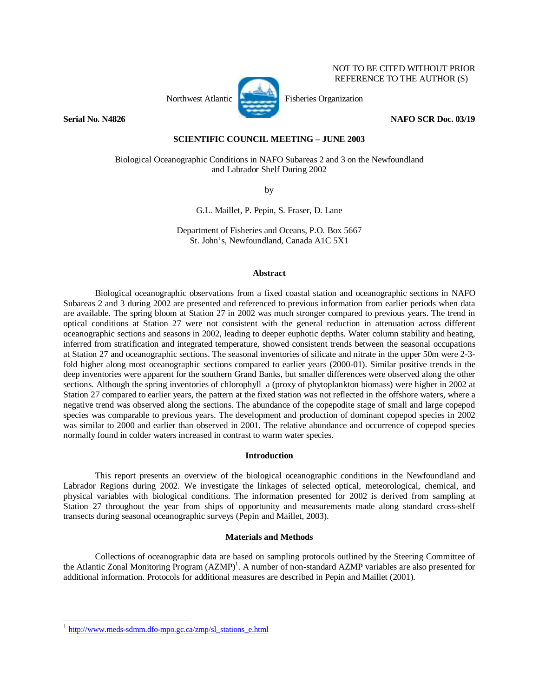

NOT TO BE CITED WITHOUT PRIOR REFERENCE TO THE AUTHOR (S)

**Serial No. N4826 NAFO SCR Doc. 03/19** 

# **SCIENTIFIC COUNCIL MEETING – JUNE 2003**

Biological Oceanographic Conditions in NAFO Subareas 2 and 3 on the Newfoundland and Labrador Shelf During 2002

by

G.L. Maillet, P. Pepin, S. Fraser, D. Lane

Department of Fisheries and Oceans, P.O. Box 5667 St. John's, Newfoundland, Canada A1C 5X1

## **Abstract**

Biological oceanographic observations from a fixed coastal station and oceanographic sections in NAFO Subareas 2 and 3 during 2002 are presented and referenced to previous information from earlier periods when data are available. The spring bloom at Station 27 in 2002 was much stronger compared to previous years. The trend in optical conditions at Station 27 were not consistent with the general reduction in attenuation across different oceanographic sections and seasons in 2002, leading to deeper euphotic depths. Water column stability and heating, inferred from stratification and integrated temperature, showed consistent trends between the seasonal occupations at Station 27 and oceanographic sections. The seasonal inventories of silicate and nitrate in the upper 50m were 2-3 fold higher along most oceanographic sections compared to earlier years (2000-01). Similar positive trends in the deep inventories were apparent for the southern Grand Banks, but smaller differences were observed along the other sections. Although the spring inventories of chlorophyll a (proxy of phytoplankton biomass) were higher in 2002 at Station 27 compared to earlier years, the pattern at the fixed station was not reflected in the offshore waters, where a negative trend was observed along the sections. The abundance of the copepodite stage of small and large copepod species was comparable to previous years. The development and production of dominant copepod species in 2002 was similar to 2000 and earlier than observed in 2001. The relative abundance and occurrence of copepod species normally found in colder waters increased in contrast to warm water species.

# **Introduction**

 This report presents an overview of the biological oceanographic conditions in the Newfoundland and Labrador Regions during 2002. We investigate the linkages of selected optical, meteorological, chemical, and physical variables with biological conditions. The information presented for 2002 is derived from sampling at Station 27 throughout the year from ships of opportunity and measurements made along standard cross-shelf transects during seasonal oceanographic surveys (Pepin and Maillet, 2003).

# **Materials and Methods**

 Collections of oceanographic data are based on sampling protocols outlined by the Steering Committee of the Atlantic Zonal Monitoring Program (AZMP)<sup>1</sup>. A number of non-standard AZMP variables are also presented for additional information. Protocols for additional measures are described in Pepin and Maillet (2001).

-

http://www.meds-sdmm.dfo-mpo.gc.ca/zmp/sl\_stations\_e.html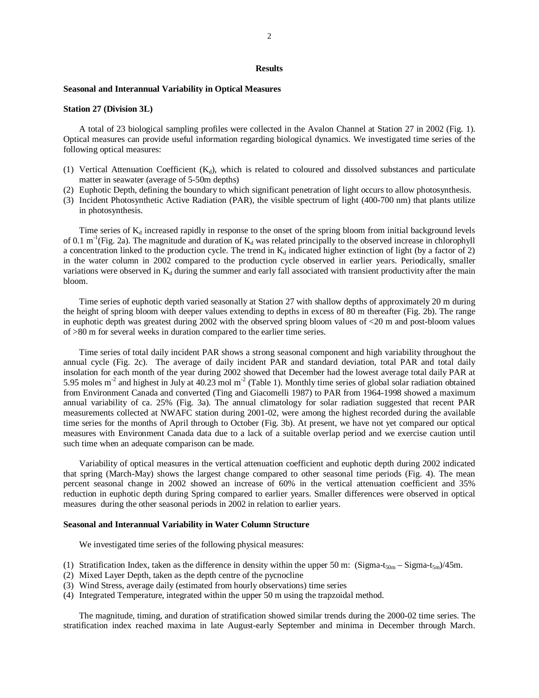#### **Results**

## **Seasonal and Interannual Variability in Optical Measures**

### **Station 27 (Division 3L)**

A total of 23 biological sampling profiles were collected in the Avalon Channel at Station 27 in 2002 (Fig. 1). Optical measures can provide useful information regarding biological dynamics. We investigated time series of the following optical measures:

- (1) Vertical Attenuation Coefficient  $(K_d)$ , which is related to coloured and dissolved substances and particulate matter in seawater (average of 5-50m depths)
- (2) Euphotic Depth, defining the boundary to which significant penetration of light occurs to allow photosynthesis.
- (3) Incident Photosynthetic Active Radiation (PAR), the visible spectrum of light (400-700 nm) that plants utilize in photosynthesis.

Time series of  $K_d$  increased rapidly in response to the onset of the spring bloom from initial background levels of 0.1 m<sup>-1</sup>(Fig. 2a). The magnitude and duration of  $K_d$  was related principally to the observed increase in chlorophyll a concentration linked to the production cycle. The trend in  $K_d$  indicated higher extinction of light (by a factor of 2) in the water column in 2002 compared to the production cycle observed in earlier years. Periodically, smaller variations were observed in  $K_d$  during the summer and early fall associated with transient productivity after the main bloom.

Time series of euphotic depth varied seasonally at Station 27 with shallow depths of approximately 20 m during the height of spring bloom with deeper values extending to depths in excess of 80 m thereafter (Fig. 2b). The range in euphotic depth was greatest during 2002 with the observed spring bloom values of <20 m and post-bloom values of >80 m for several weeks in duration compared to the earlier time series.

Time series of total daily incident PAR shows a strong seasonal component and high variability throughout the annual cycle (Fig. 2c). The average of daily incident PAR and standard deviation, total PAR and total daily insolation for each month of the year during 2002 showed that December had the lowest average total daily PAR at 5.95 moles m<sup>-2</sup> and highest in July at 40.23 mol m<sup>-2</sup> (Table 1). Monthly time series of global solar radiation obtained from Environment Canada and converted (Ting and Giacomelli 1987) to PAR from 1964-1998 showed a maximum annual variability of ca. 25% (Fig. 3a). The annual climatology for solar radiation suggested that recent PAR measurements collected at NWAFC station during 2001-02, were among the highest recorded during the available time series for the months of April through to October (Fig. 3b). At present, we have not yet compared our optical measures with Environment Canada data due to a lack of a suitable overlap period and we exercise caution until such time when an adequate comparison can be made.

Variability of optical measures in the vertical attenuation coefficient and euphotic depth during 2002 indicated that spring (March-May) shows the largest change compared to other seasonal time periods (Fig. 4). The mean percent seasonal change in 2002 showed an increase of 60% in the vertical attenuation coefficient and 35% reduction in euphotic depth during Spring compared to earlier years. Smaller differences were observed in optical measures during the other seasonal periods in 2002 in relation to earlier years.

### **Seasonal and Interannual Variability in Water Column Structure**

We investigated time series of the following physical measures:

- (1) Stratification Index, taken as the difference in density within the upper 50 m: (Sigma-t<sub>50m</sub> Sigma-t<sub>5m</sub>)/45m.
- (2) Mixed Layer Depth, taken as the depth centre of the pycnocline
- (3) Wind Stress, average daily (estimated from hourly observations) time series
- (4) Integrated Temperature, integrated within the upper 50 m using the trapzoidal method.

The magnitude, timing, and duration of stratification showed similar trends during the 2000-02 time series. The stratification index reached maxima in late August-early September and minima in December through March.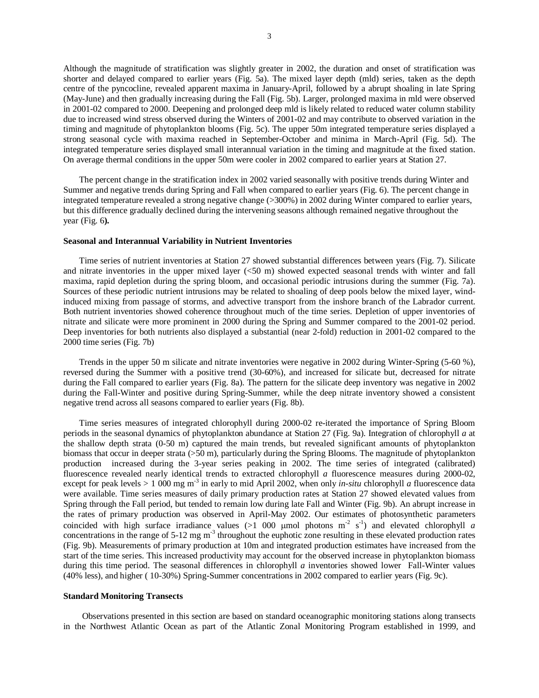Although the magnitude of stratification was slightly greater in 2002, the duration and onset of stratification was shorter and delayed compared to earlier years (Fig. 5a). The mixed layer depth (mld) series, taken as the depth centre of the pyncocline, revealed apparent maxima in January-April, followed by a abrupt shoaling in late Spring (May-June) and then gradually increasing during the Fall (Fig. 5b). Larger, prolonged maxima in mld were observed in 2001-02 compared to 2000. Deepening and prolonged deep mld is likely related to reduced water column stability due to increased wind stress observed during the Winters of 2001-02 and may contribute to observed variation in the timing and magnitude of phytoplankton blooms (Fig. 5c). The upper 50m integrated temperature series displayed a strong seasonal cycle with maxima reached in September-October and minima in March-April (Fig. 5d). The integrated temperature series displayed small interannual variation in the timing and magnitude at the fixed station. On average thermal conditions in the upper 50m were cooler in 2002 compared to earlier years at Station 27.

The percent change in the stratification index in 2002 varied seasonally with positive trends during Winter and Summer and negative trends during Spring and Fall when compared to earlier years (Fig. 6). The percent change in integrated temperature revealed a strong negative change (>300%) in 2002 during Winter compared to earlier years, but this difference gradually declined during the intervening seasons although remained negative throughout the year (Fig. 6**).** 

### **Seasonal and Interannual Variability in Nutrient Inventories**

Time series of nutrient inventories at Station 27 showed substantial differences between years (Fig. 7). Silicate and nitrate inventories in the upper mixed layer (<50 m) showed expected seasonal trends with winter and fall maxima, rapid depletion during the spring bloom, and occasional periodic intrusions during the summer (Fig. 7a). Sources of these periodic nutrient intrusions may be related to shoaling of deep pools below the mixed layer, windinduced mixing from passage of storms, and advective transport from the inshore branch of the Labrador current. Both nutrient inventories showed coherence throughout much of the time series. Depletion of upper inventories of nitrate and silicate were more prominent in 2000 during the Spring and Summer compared to the 2001-02 period. Deep inventories for both nutrients also displayed a substantial (near 2-fold) reduction in 2001-02 compared to the 2000 time series (Fig. 7b)

Trends in the upper 50 m silicate and nitrate inventories were negative in 2002 during Winter-Spring (5-60 %), reversed during the Summer with a positive trend (30-60%), and increased for silicate but, decreased for nitrate during the Fall compared to earlier years (Fig. 8a). The pattern for the silicate deep inventory was negative in 2002 during the Fall-Winter and positive during Spring-Summer, while the deep nitrate inventory showed a consistent negative trend across all seasons compared to earlier years (Fig. 8b).

Time series measures of integrated chlorophyll during 2000-02 re-iterated the importance of Spring Bloom periods in the seasonal dynamics of phytoplankton abundance at Station 27 (Fig. 9a). Integration of chlorophyll *a* at the shallow depth strata (0-50 m) captured the main trends, but revealed significant amounts of phytoplankton biomass that occur in deeper strata (>50 m), particularly during the Spring Blooms. The magnitude of phytoplankton production increased during the 3-year series peaking in 2002. The time series of integrated (calibrated) fluorescence revealed nearly identical trends to extracted chlorophyll *a* fluorescence measures during 2000-02, except for peak levels > 1 000 mg m<sup>-3</sup> in early to mid April 2002, when only *in-situ* chlorophyll *a* fluorescence data were available. Time series measures of daily primary production rates at Station 27 showed elevated values from Spring through the Fall period, but tended to remain low during late Fall and Winter (Fig. 9b). An abrupt increase in the rates of primary production was observed in April-May 2002. Our estimates of photosynthetic parameters coincided with high surface irradiance values (>1 000 µmol photons  $m^2 s^{-1}$ ) and elevated chlorophyll *a* concentrations in the range of  $5-12$  mg m<sup>-3</sup> throughout the euphotic zone resulting in these elevated production rates (Fig. 9b). Measurements of primary production at 10m and integrated production estimates have increased from the start of the time series. This increased productivity may account for the observed increase in phytoplankton biomass during this time period. The seasonal differences in chlorophyll *a* inventories showed lower Fall-Winter values (40% less), and higher ( 10-30%) Spring-Summer concentrations in 2002 compared to earlier years (Fig. 9c).

## **Standard Monitoring Transects**

Observations presented in this section are based on standard oceanographic monitoring stations along transects in the Northwest Atlantic Ocean as part of the Atlantic Zonal Monitoring Program established in 1999, and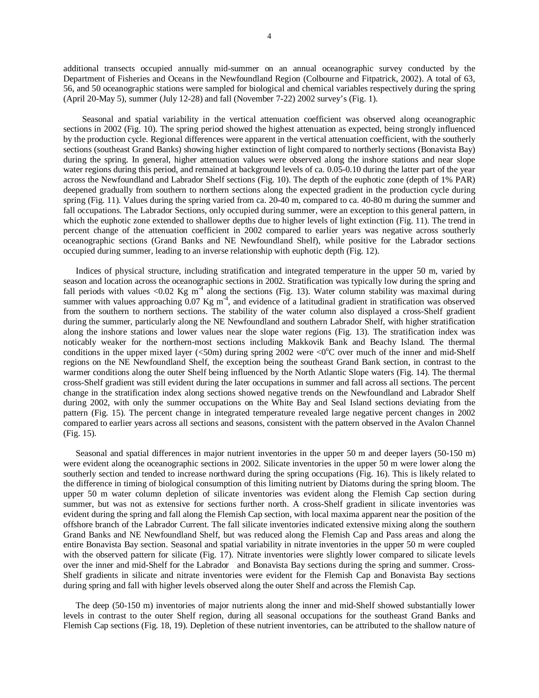additional transects occupied annually mid-summer on an annual oceanographic survey conducted by the Department of Fisheries and Oceans in the Newfoundland Region (Colbourne and Fitpatrick, 2002). A total of 63, 56, and 50 oceanographic stations were sampled for biological and chemical variables respectively during the spring (April 20-May 5), summer (July 12-28) and fall (November 7-22) 2002 survey's (Fig. 1).

Seasonal and spatial variability in the vertical attenuation coefficient was observed along oceanographic sections in 2002 (Fig. 10). The spring period showed the highest attenuation as expected, being strongly influenced by the production cycle. Regional differences were apparent in the vertical attenuation coefficient, with the southerly sections (southeast Grand Banks) showing higher extinction of light compared to northerly sections (Bonavista Bay) during the spring. In general, higher attenuation values were observed along the inshore stations and near slope water regions during this period, and remained at background levels of ca. 0.05-0.10 during the latter part of the year across the Newfoundland and Labrador Shelf sections (Fig. 10). The depth of the euphotic zone (depth of 1% PAR) deepened gradually from southern to northern sections along the expected gradient in the production cycle during spring (Fig. 11). Values during the spring varied from ca. 20-40 m, compared to ca. 40-80 m during the summer and fall occupations. The Labrador Sections, only occupied during summer, were an exception to this general pattern, in which the euphotic zone extended to shallower depths due to higher levels of light extinction (Fig. 11). The trend in percent change of the attenuation coefficient in 2002 compared to earlier years was negative across southerly oceanographic sections (Grand Banks and NE Newfoundland Shelf), while positive for the Labrador sections occupied during summer, leading to an inverse relationship with euphotic depth (Fig. 12).

Indices of physical structure, including stratification and integrated temperature in the upper 50 m, varied by season and location across the oceanographic sections in 2002. Stratification was typically low during the spring and fall periods with values <0.02 Kg  $m^{-4}$  along the sections (Fig. 13). Water column stability was maximal during summer with values approaching  $0.07$  Kg m<sup>-4</sup>, and evidence of a latitudinal gradient in stratification was observed from the southern to northern sections. The stability of the water column also displayed a cross-Shelf gradient during the summer, particularly along the NE Newfoundland and southern Labrador Shelf, with higher stratification along the inshore stations and lower values near the slope water regions (Fig. 13). The stratification index was noticably weaker for the northern-most sections including Makkovik Bank and Beachy Island. The thermal conditions in the upper mixed layer (<50m) during spring 2002 were <0 $^{\circ}$ C over much of the inner and mid-Shelf regions on the NE Newfoundland Shelf, the exception being the southeast Grand Bank section, in contrast to the warmer conditions along the outer Shelf being influenced by the North Atlantic Slope waters (Fig. 14). The thermal cross-Shelf gradient was still evident during the later occupations in summer and fall across all sections. The percent change in the stratification index along sections showed negative trends on the Newfoundland and Labrador Shelf during 2002, with only the summer occupations on the White Bay and Seal Island sections deviating from the pattern (Fig. 15). The percent change in integrated temperature revealed large negative percent changes in 2002 compared to earlier years across all sections and seasons, consistent with the pattern observed in the Avalon Channel (Fig. 15).

Seasonal and spatial differences in major nutrient inventories in the upper 50 m and deeper layers (50-150 m) were evident along the oceanographic sections in 2002. Silicate inventories in the upper 50 m were lower along the southerly section and tended to increase northward during the spring occupations (Fig. 16). This is likely related to the difference in timing of biological consumption of this limiting nutrient by Diatoms during the spring bloom. The upper 50 m water column depletion of silicate inventories was evident along the Flemish Cap section during summer, but was not as extensive for sections further north. A cross-Shelf gradient in silicate inventories was evident during the spring and fall along the Flemish Cap section, with local maxima apparent near the position of the offshore branch of the Labrador Current. The fall silicate inventories indicated extensive mixing along the southern Grand Banks and NE Newfoundland Shelf, but was reduced along the Flemish Cap and Pass areas and along the entire Bonavista Bay section. Seasonal and spatial variability in nitrate inventories in the upper 50 m were coupled with the observed pattern for silicate (Fig. 17). Nitrate inventories were slightly lower compared to silicate levels over the inner and mid-Shelf for the Labrador and Bonavista Bay sections during the spring and summer. Cross-Shelf gradients in silicate and nitrate inventories were evident for the Flemish Cap and Bonavista Bay sections during spring and fall with higher levels observed along the outer Shelf and across the Flemish Cap.

The deep (50-150 m) inventories of major nutrients along the inner and mid-Shelf showed substantially lower levels in contrast to the outer Shelf region, during all seasonal occupations for the southeast Grand Banks and Flemish Cap sections (Fig. 18, 19). Depletion of these nutrient inventories, can be attributed to the shallow nature of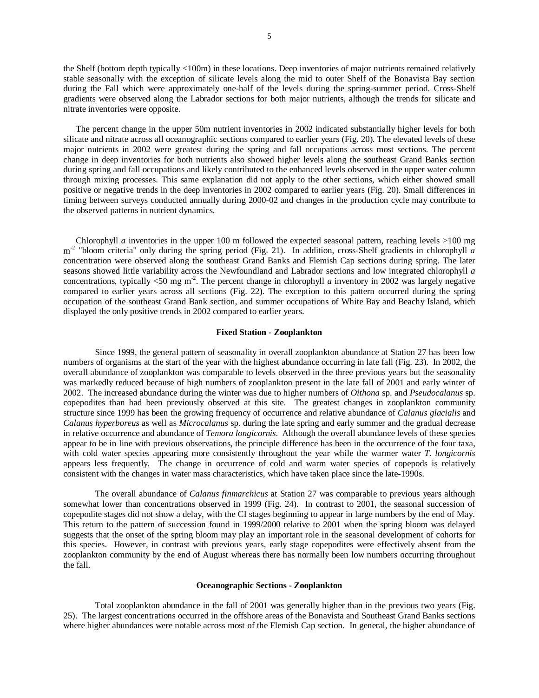the Shelf (bottom depth typically <100m) in these locations. Deep inventories of major nutrients remained relatively stable seasonally with the exception of silicate levels along the mid to outer Shelf of the Bonavista Bay section during the Fall which were approximately one-half of the levels during the spring-summer period. Cross-Shelf gradients were observed along the Labrador sections for both major nutrients, although the trends for silicate and nitrate inventories were opposite.

The percent change in the upper 50m nutrient inventories in 2002 indicated substantially higher levels for both silicate and nitrate across all oceanographic sections compared to earlier years (Fig. 20). The elevated levels of these major nutrients in 2002 were greatest during the spring and fall occupations across most sections. The percent change in deep inventories for both nutrients also showed higher levels along the southeast Grand Banks section during spring and fall occupations and likely contributed to the enhanced levels observed in the upper water column through mixing processes. This same explanation did not apply to the other sections, which either showed small positive or negative trends in the deep inventories in 2002 compared to earlier years (Fig. 20). Small differences in timing between surveys conducted annually during 2000-02 and changes in the production cycle may contribute to the observed patterns in nutrient dynamics.

Chlorophyll *a* inventories in the upper 100 m followed the expected seasonal pattern, reaching levels >100 mg m<sup>-2</sup> "bloom criteria" only during the spring period (Fig. 21). In addition, cross-Shelf gradients in chlorophyll *a* concentration were observed along the southeast Grand Banks and Flemish Cap sections during spring. The later seasons showed little variability across the Newfoundland and Labrador sections and low integrated chlorophyll *a* concentrations, typically  $\langle 50 \text{ mg m}^2 \rangle$ . The percent change in chlorophyll *a* inventory in 2002 was largely negative compared to earlier years across all sections (Fig. 22). The exception to this pattern occurred during the spring occupation of the southeast Grand Bank section, and summer occupations of White Bay and Beachy Island, which displayed the only positive trends in 2002 compared to earlier years.

## **Fixed Station - Zooplankton**

Since 1999, the general pattern of seasonality in overall zooplankton abundance at Station 27 has been low numbers of organisms at the start of the year with the highest abundance occurring in late fall (Fig. 23). In 2002, the overall abundance of zooplankton was comparable to levels observed in the three previous years but the seasonality was markedly reduced because of high numbers of zooplankton present in the late fall of 2001 and early winter of 2002. The increased abundance during the winter was due to higher numbers of *Oithona* sp. and *Pseudocalanus* sp. copepodites than had been previously observed at this site. The greatest changes in zooplankton community structure since 1999 has been the growing frequency of occurrence and relative abundance of *Calanus glacialis* and *Calanus hyperboreus* as well as *Microcalanus* sp. during the late spring and early summer and the gradual decrease in relative occurrence and abundance of *Temora longicornis*. Although the overall abundance levels of these species appear to be in line with previous observations, the principle difference has been in the occurrence of the four taxa, with cold water species appearing more consistently throughout the year while the warmer water *T. longicornis* appears less frequently. The change in occurrence of cold and warm water species of copepods is relatively consistent with the changes in water mass characteristics, which have taken place since the late-1990s.

The overall abundance of *Calanus finmarchicus* at Station 27 was comparable to previous years although somewhat lower than concentrations observed in 1999 (Fig. 24). In contrast to 2001, the seasonal succession of copepodite stages did not show a delay, with the CI stages beginning to appear in large numbers by the end of May. This return to the pattern of succession found in 1999/2000 relative to 2001 when the spring bloom was delayed suggests that the onset of the spring bloom may play an important role in the seasonal development of cohorts for this species. However, in contrast with previous years, early stage copepodites were effectively absent from the zooplankton community by the end of August whereas there has normally been low numbers occurring throughout the fall.

### **Oceanographic Sections - Zooplankton**

Total zooplankton abundance in the fall of 2001 was generally higher than in the previous two years (Fig. 25). The largest concentrations occurred in the offshore areas of the Bonavista and Southeast Grand Banks sections where higher abundances were notable across most of the Flemish Cap section. In general, the higher abundance of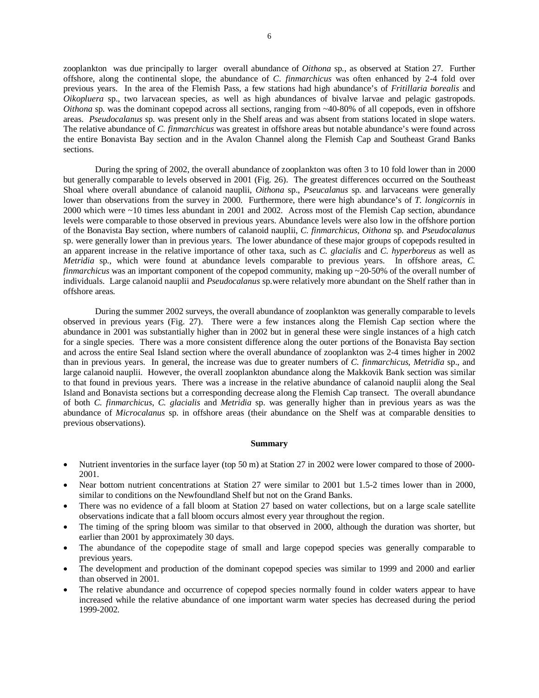zooplankton was due principally to larger overall abundance of *Oithona* sp., as observed at Station 27. Further offshore, along the continental slope, the abundance of *C. finmarchicus* was often enhanced by 2-4 fold over previous years. In the area of the Flemish Pass, a few stations had high abundance's of *Fritillaria borealis* and *Oikopluera* sp., two larvacean species, as well as high abundances of bivalve larvae and pelagic gastropods. *Oithona* sp. was the dominant copepod across all sections, ranging from ~40-80% of all copepods, even in offshore areas. *Pseudocalanus* sp. was present only in the Shelf areas and was absent from stations located in slope waters. The relative abundance of *C. finmarchicus* was greatest in offshore areas but notable abundance's were found across the entire Bonavista Bay section and in the Avalon Channel along the Flemish Cap and Southeast Grand Banks sections.

During the spring of 2002, the overall abundance of zooplankton was often 3 to 10 fold lower than in 2000 but generally comparable to levels observed in 2001 (Fig. 26). The greatest differences occurred on the Southeast Shoal where overall abundance of calanoid nauplii, *Oithona* sp., *Pseucalanus* sp. and larvaceans were generally lower than observations from the survey in 2000. Furthermore, there were high abundance's of *T. longicornis* in 2000 which were ~10 times less abundant in 2001 and 2002. Across most of the Flemish Cap section, abundance levels were comparable to those observed in previous years. Abundance levels were also low in the offshore portion of the Bonavista Bay section, where numbers of calanoid nauplii, *C. finmarchicus*, *Oithona* sp. and *Pseudocalanus* sp. were generally lower than in previous years. The lower abundance of these major groups of copepods resulted in an apparent increase in the relative importance of other taxa, such as *C. glacialis* and *C. hyperboreus* as well as *Metridia* sp., which were found at abundance levels comparable to previous years. In offshore areas, *C. finmarchicus* was an important component of the copepod community, making up ~20-50% of the overall number of individuals. Large calanoid nauplii and *Pseudocalanus* sp.were relatively more abundant on the Shelf rather than in offshore areas.

During the summer 2002 surveys, the overall abundance of zooplankton was generally comparable to levels observed in previous years (Fig. 27). There were a few instances along the Flemish Cap section where the abundance in 2001 was substantially higher than in 2002 but in general these were single instances of a high catch for a single species. There was a more consistent difference along the outer portions of the Bonavista Bay section and across the entire Seal Island section where the overall abundance of zooplankton was 2-4 times higher in 2002 than in previous years. In general, the increase was due to greater numbers of *C. finmarchicus*, *Metridia* sp., and large calanoid nauplii. However, the overall zooplankton abundance along the Makkovik Bank section was similar to that found in previous years. There was a increase in the relative abundance of calanoid nauplii along the Seal Island and Bonavista sections but a corresponding decrease along the Flemish Cap transect. The overall abundance of both *C. finmarchicus*, *C. glacialis* and *Metridia* sp. was generally higher than in previous years as was the abundance of *Microcalanus* sp. in offshore areas (their abundance on the Shelf was at comparable densities to previous observations).

### **Summary**

- Nutrient inventories in the surface layer (top 50 m) at Station 27 in 2002 were lower compared to those of 2000-2001.
- Near bottom nutrient concentrations at Station 27 were similar to 2001 but 1.5-2 times lower than in 2000, similar to conditions on the Newfoundland Shelf but not on the Grand Banks.
- There was no evidence of a fall bloom at Station 27 based on water collections, but on a large scale satellite observations indicate that a fall bloom occurs almost every year throughout the region.
- The timing of the spring bloom was similar to that observed in 2000, although the duration was shorter, but earlier than 2001 by approximately 30 days.
- The abundance of the copepodite stage of small and large copepod species was generally comparable to previous years.
- The development and production of the dominant copepod species was similar to 1999 and 2000 and earlier than observed in 2001.
- The relative abundance and occurrence of copepod species normally found in colder waters appear to have increased while the relative abundance of one important warm water species has decreased during the period 1999-2002.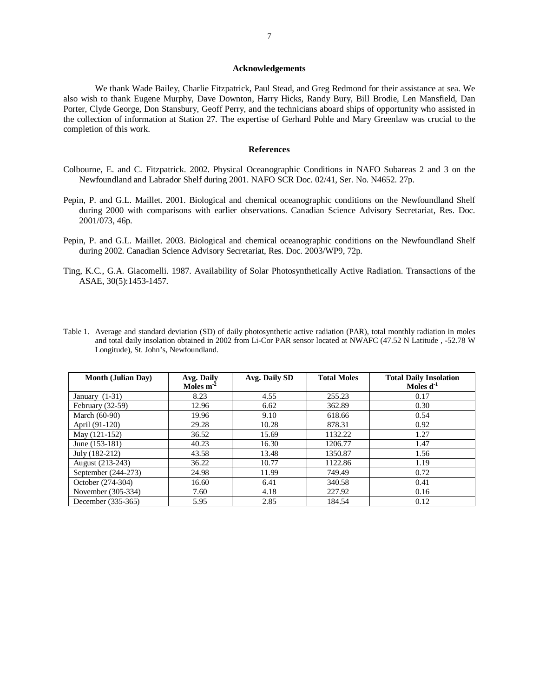### **Acknowledgements**

We thank Wade Bailey, Charlie Fitzpatrick, Paul Stead, and Greg Redmond for their assistance at sea. We also wish to thank Eugene Murphy, Dave Downton, Harry Hicks, Randy Bury, Bill Brodie, Len Mansfield, Dan Porter, Clyde George, Don Stansbury, Geoff Perry, and the technicians aboard ships of opportunity who assisted in the collection of information at Station 27. The expertise of Gerhard Pohle and Mary Greenlaw was crucial to the completion of this work.

## **References**

- Colbourne, E. and C. Fitzpatrick. 2002. Physical Oceanographic Conditions in NAFO Subareas 2 and 3 on the Newfoundland and Labrador Shelf during 2001. NAFO SCR Doc. 02/41, Ser. No. N4652. 27p.
- Pepin, P. and G.L. Maillet. 2001. Biological and chemical oceanographic conditions on the Newfoundland Shelf during 2000 with comparisons with earlier observations. Canadian Science Advisory Secretariat, Res. Doc. 2001/073, 46p.
- Pepin, P. and G.L. Maillet. 2003. Biological and chemical oceanographic conditions on the Newfoundland Shelf during 2002. Canadian Science Advisory Secretariat, Res. Doc. 2003/WP9, 72p.
- Ting, K.C., G.A. Giacomelli. 1987. Availability of Solar Photosynthetically Active Radiation. Transactions of the ASAE, 30(5):1453-1457.
- Table 1. Average and standard deviation (SD) of daily photosynthetic active radiation (PAR), total monthly radiation in moles and total daily insolation obtained in 2002 from Li-Cor PAR sensor located at NWAFC (47.52 N Latitude , -52.78 W Longitude), St. John's, Newfoundland.

| <b>Month (Julian Day)</b> | Avg. Daily<br>Moles $m^{-2}$ | Avg. Daily SD | <b>Total Moles</b> | <b>Total Daily Insolation</b><br>Moles $d^{-1}$ |
|---------------------------|------------------------------|---------------|--------------------|-------------------------------------------------|
| January $(1-31)$          | 8.23                         | 4.55          | 255.23             | 0.17                                            |
| February $(32-59)$        | 12.96                        | 6.62          | 362.89             | 0.30                                            |
| March (60-90)             | 19.96                        | 9.10          | 618.66             | 0.54                                            |
| April (91-120)            | 29.28                        | 10.28         | 878.31             | 0.92                                            |
| May (121-152)             | 36.52                        | 15.69         | 1132.22            | 1.27                                            |
| June (153-181)            | 40.23                        | 16.30         | 1206.77            | 1.47                                            |
| July (182-212)            | 43.58                        | 13.48         | 1350.87            | 1.56                                            |
| August (213-243)          | 36.22                        | 10.77         | 1122.86            | 1.19                                            |
| September (244-273)       | 24.98                        | 11.99         | 749.49             | 0.72                                            |
| October (274-304)         | 16.60                        | 6.41          | 340.58             | 0.41                                            |
| November (305-334)        | 7.60                         | 4.18          | 227.92             | 0.16                                            |
| December (335-365)        | 5.95                         | 2.85          | 184.54             | 0.12                                            |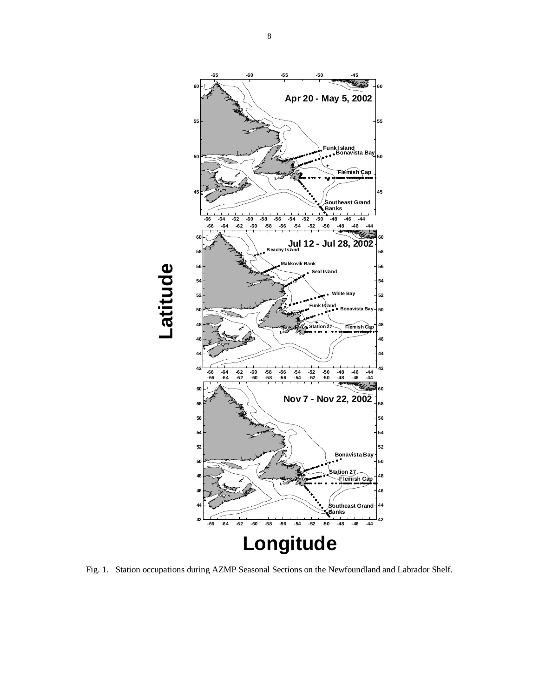

Fig. 1. Station occupations during AZMP Seasonal Sections on the Newfoundland and Labrador Shelf.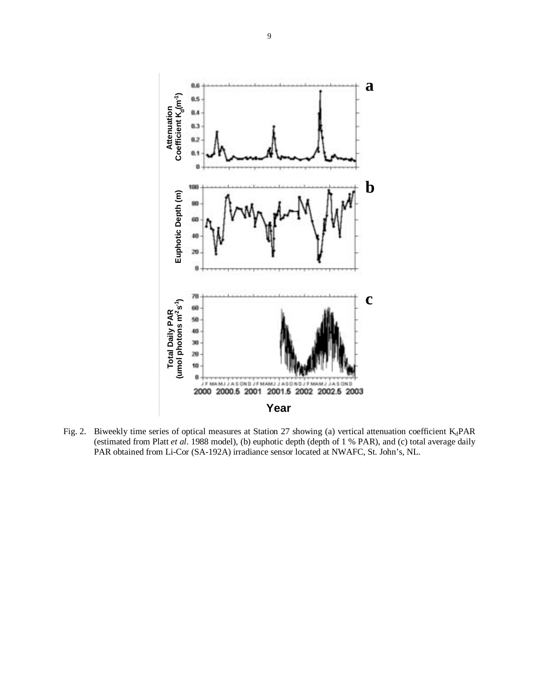

Fig. 2. Biweekly time series of optical measures at Station 27 showing (a) vertical attenuation coefficient  $K_d$ PAR (estimated from Platt *et al*. 1988 model), (b) euphotic depth (depth of 1 % PAR), and (c) total average daily PAR obtained from Li-Cor (SA-192A) irradiance sensor located at NWAFC, St. John's, NL.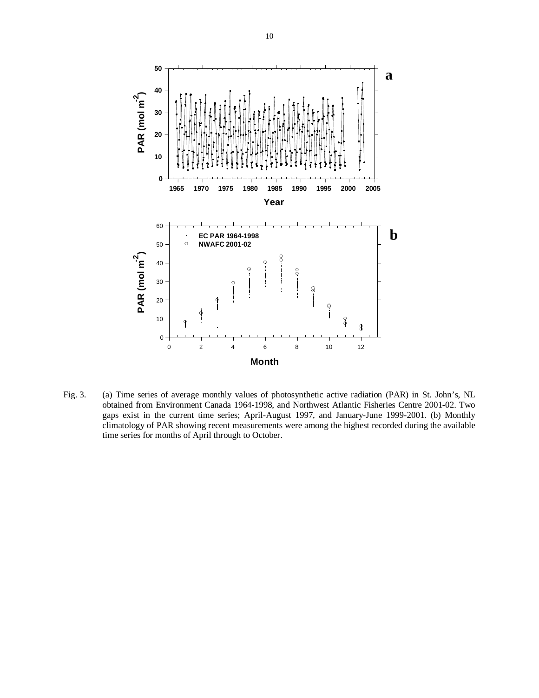

Fig. 3. (a) Time series of average monthly values of photosynthetic active radiation (PAR) in St. John's, NL obtained from Environment Canada 1964-1998, and Northwest Atlantic Fisheries Centre 2001-02. Two gaps exist in the current time series; April-August 1997, and January-June 1999-2001. (b) Monthly climatology of PAR showing recent measurements were among the highest recorded during the available time series for months of April through to October.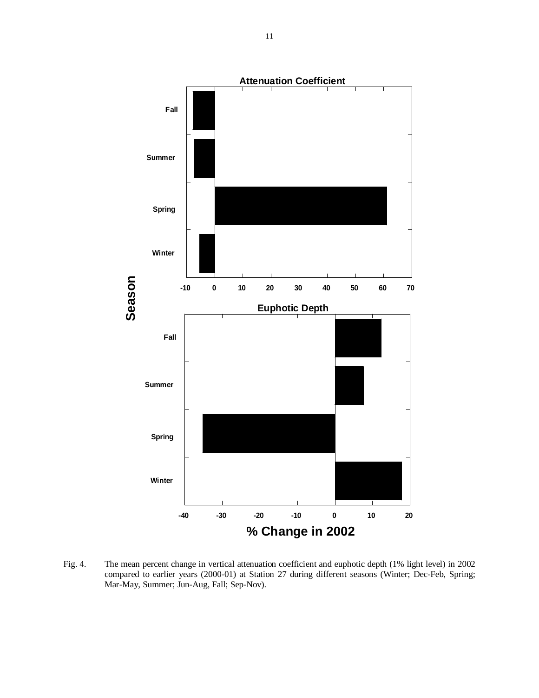**-10 0 10 20 30 40 50 60 70** 1 **Fall Attenuation Coefficient Summer Spring Winter -40 -30 -20 -10 0 10 20** 1 **Fall Euphotic Depth Summer Spring Winter Season % Change in 2002**

Fig. 4. The mean percent change in vertical attenuation coefficient and euphotic depth (1% light level) in 2002 compared to earlier years (2000-01) at Station 27 during different seasons (Winter; Dec-Feb, Spring; Mar-May, Summer; Jun-Aug, Fall; Sep-Nov).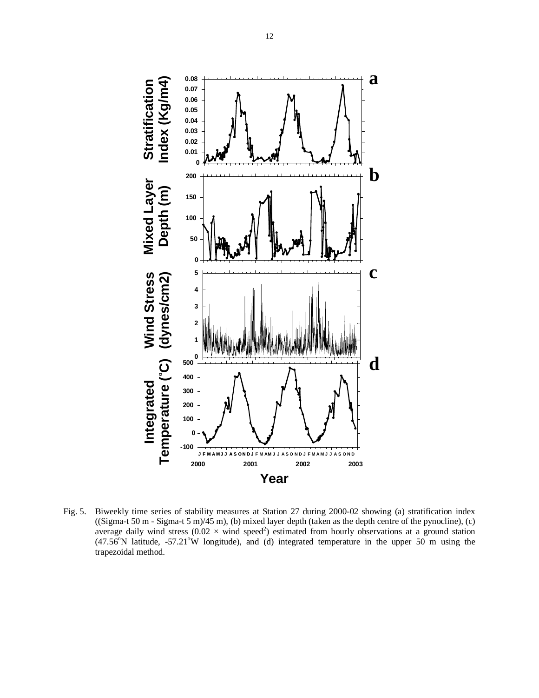![](_page_11_Figure_0.jpeg)

Fig. 5. Biweekly time series of stability measures at Station 27 during 2000-02 showing (a) stratification index ((Sigma-t 50 m - Sigma-t 5 m)/45 m), (b) mixed layer depth (taken as the depth centre of the pynocline), (c) average daily wind stress ( $0.02 \times$  wind speed<sup>2</sup>) estimated from hourly observations at a ground station  $(47.56^{\circ}N)$  latitude, -57.21°W longitude), and (d) integrated temperature in the upper 50 m using the trapezoidal method.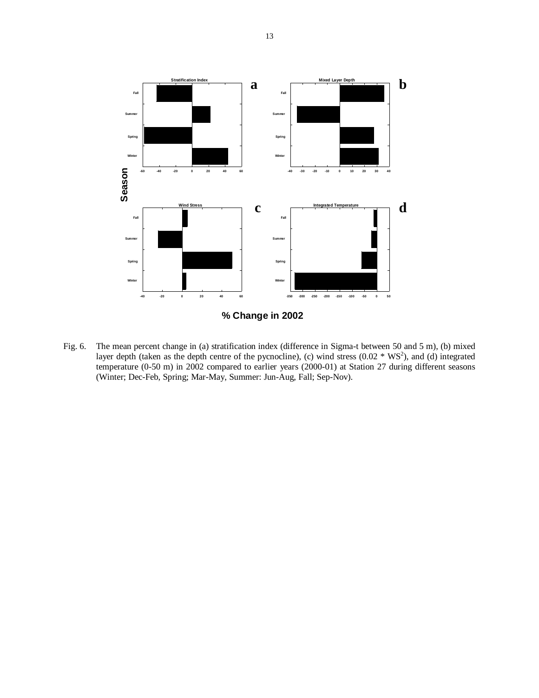![](_page_12_Figure_0.jpeg)

Fig. 6. The mean percent change in (a) stratification index (difference in Sigma-t between 50 and 5 m), (b) mixed layer depth (taken as the depth centre of the pycnocline), (c) wind stress  $(0.02 \times WS^2)$ , and (d) integrated temperature (0-50 m) in 2002 compared to earlier years (2000-01) at Station 27 during different seasons (Winter; Dec-Feb, Spring; Mar-May, Summer: Jun-Aug, Fall; Sep-Nov).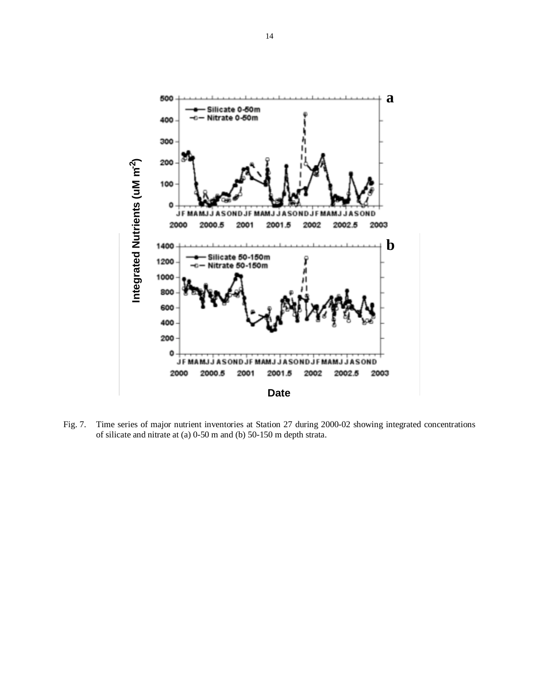![](_page_13_Figure_0.jpeg)

Fig. 7. Time series of major nutrient inventories at Station 27 during 2000-02 showing integrated concentrations of silicate and nitrate at (a) 0-50 m and (b) 50-150 m depth strata.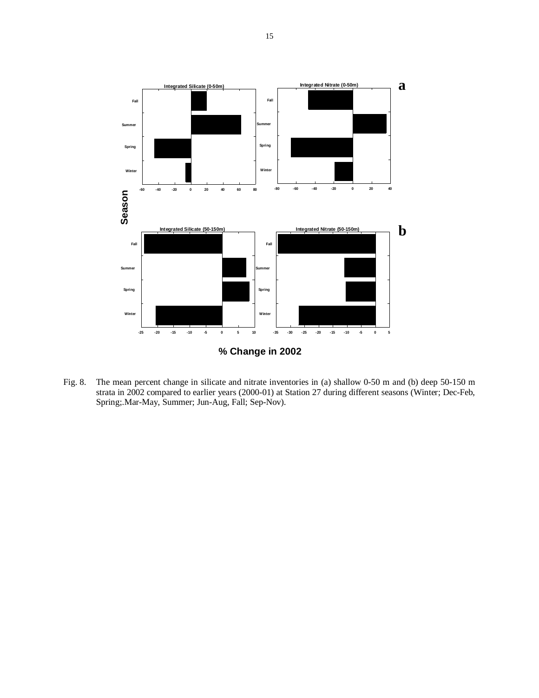![](_page_14_Figure_0.jpeg)

Fig. 8. The mean percent change in silicate and nitrate inventories in (a) shallow 0-50 m and (b) deep 50-150 m strata in 2002 compared to earlier years (2000-01) at Station 27 during different seasons (Winter; Dec-Feb, Spring;.Mar-May, Summer; Jun-Aug, Fall; Sep-Nov).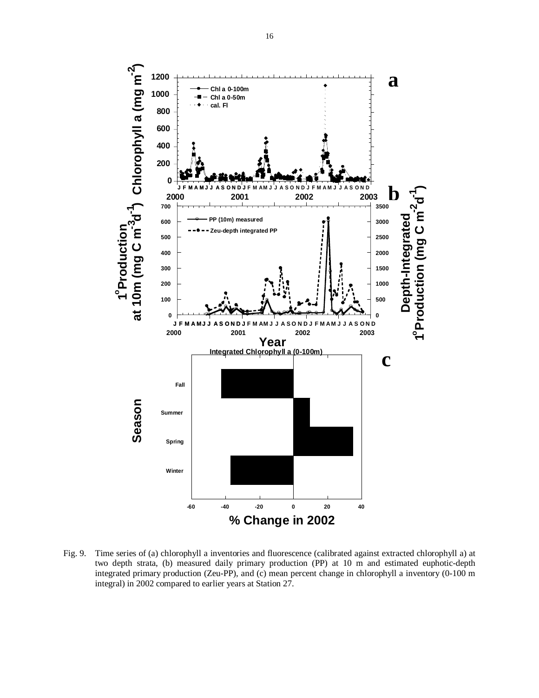![](_page_15_Figure_0.jpeg)

Fig. 9. Time series of (a) chlorophyll a inventories and fluorescence (calibrated against extracted chlorophyll a) at two depth strata, (b) measured daily primary production (PP) at 10 m and estimated euphotic-depth integrated primary production (Zeu-PP), and (c) mean percent change in chlorophyll a inventory (0-100 m integral) in 2002 compared to earlier years at Station 27.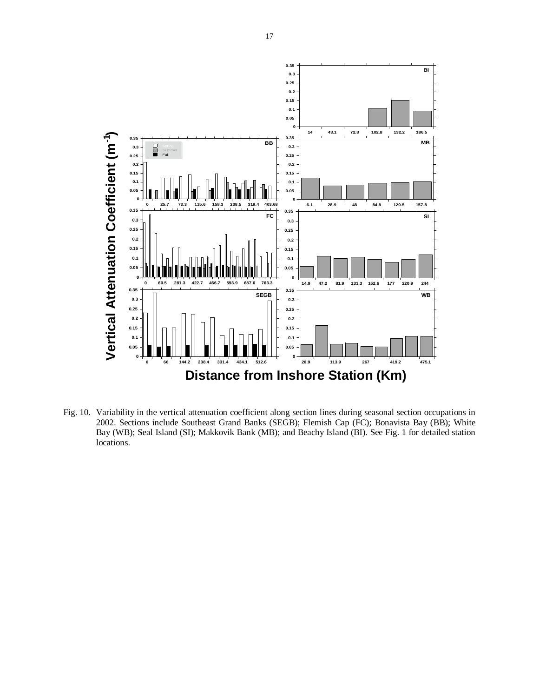![](_page_16_Figure_0.jpeg)

Fig. 10. Variability in the vertical attenuation coefficient along section lines during seasonal section occupations in 2002. Sections include Southeast Grand Banks (SEGB); Flemish Cap (FC); Bonavista Bay (BB); White Bay (WB); Seal Island (SI); Makkovik Bank (MB); and Beachy Island (BI). See Fig. 1 for detailed station locations.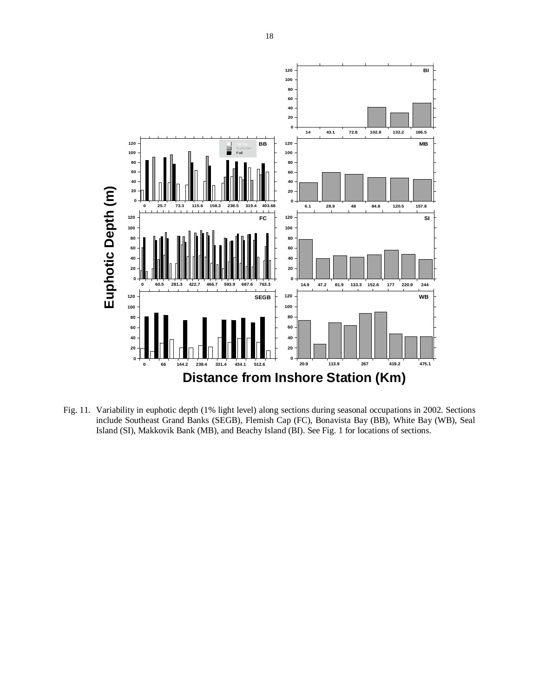![](_page_17_Figure_0.jpeg)

Fig. 11. Variability in euphotic depth (1% light level) along sections during seasonal occupations in 2002. Sections include Southeast Grand Banks (SEGB), Flemish Cap (FC), Bonavista Bay (BB), White Bay (WB), Seal Island (SI), Makkovik Bank (MB), and Beachy Island (BI). See Fig. 1 for locations of sections.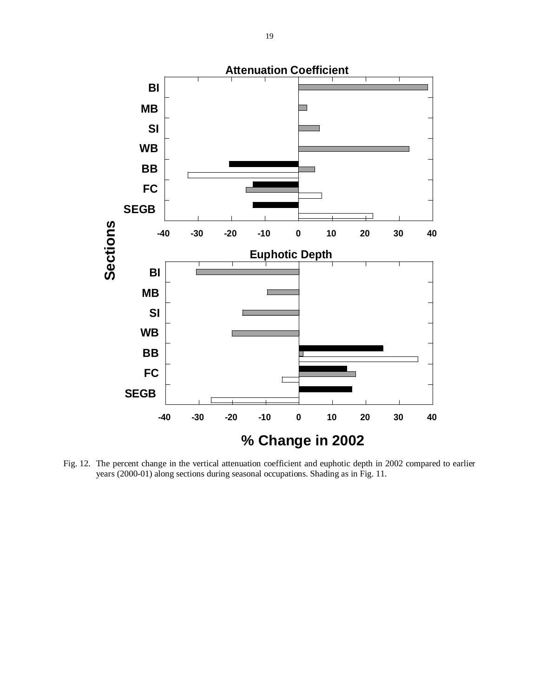![](_page_18_Figure_0.jpeg)

Fig. 12. The percent change in the vertical attenuation coefficient and euphotic depth in 2002 compared to earlier years (2000-01) along sections during seasonal occupations. Shading as in Fig. 11.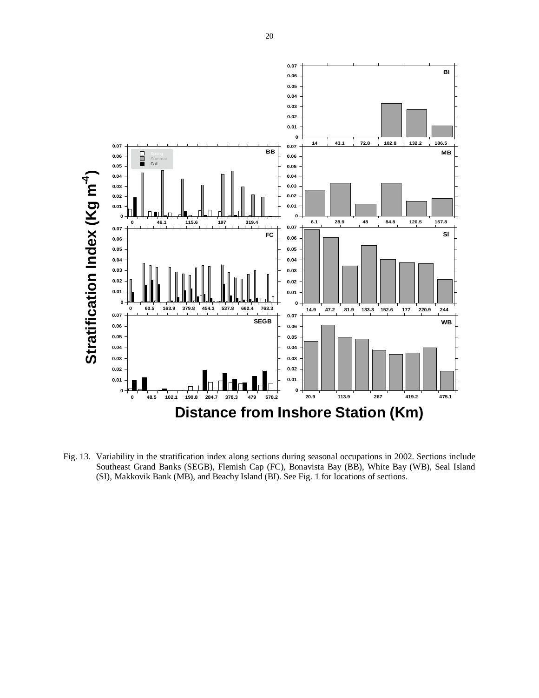![](_page_19_Figure_0.jpeg)

Fig. 13. Variability in the stratification index along sections during seasonal occupations in 2002. Sections include Southeast Grand Banks (SEGB), Flemish Cap (FC), Bonavista Bay (BB), White Bay (WB), Seal Island (SI), Makkovik Bank (MB), and Beachy Island (BI). See Fig. 1 for locations of sections.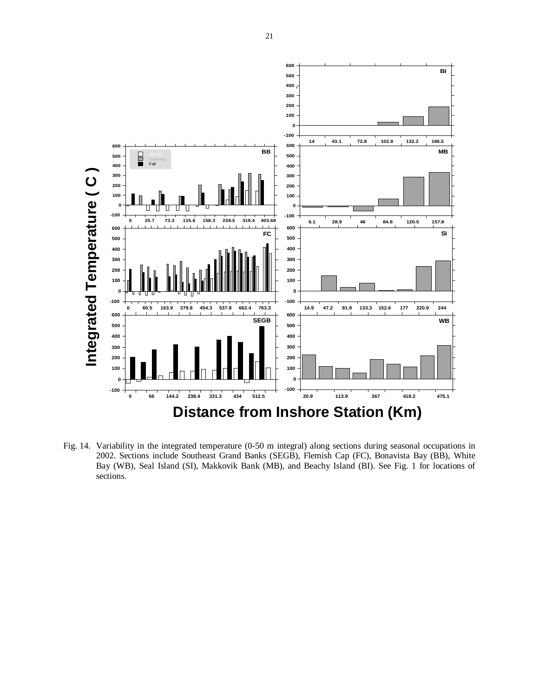![](_page_20_Figure_0.jpeg)

Fig. 14. Variability in the integrated temperature (0-50 m integral) along sections during seasonal occupations in 2002. Sections include Southeast Grand Banks (SEGB), Flemish Cap (FC), Bonavista Bay (BB), White Bay (WB), Seal Island (SI), Makkovik Bank (MB), and Beachy Island (BI). See Fig. 1 for locations of sections.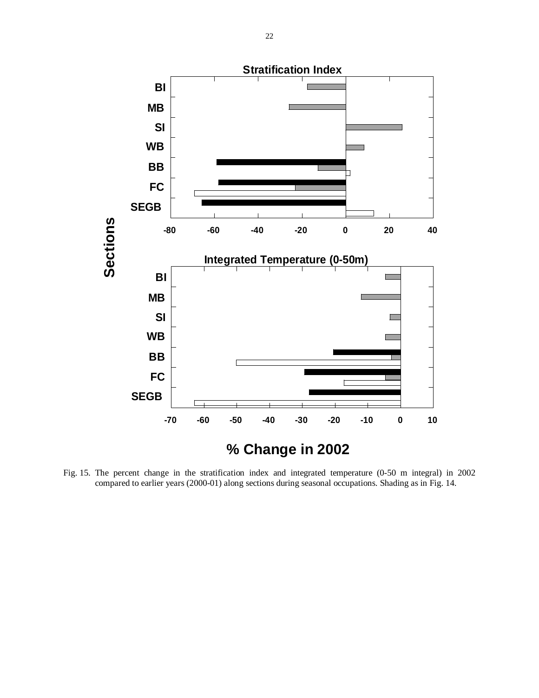![](_page_21_Figure_0.jpeg)

Fig. 15. The percent change in the stratification index and integrated temperature (0-50 m integral) in 2002 compared to earlier years (2000-01) along sections during seasonal occupations. Shading as in Fig. 14.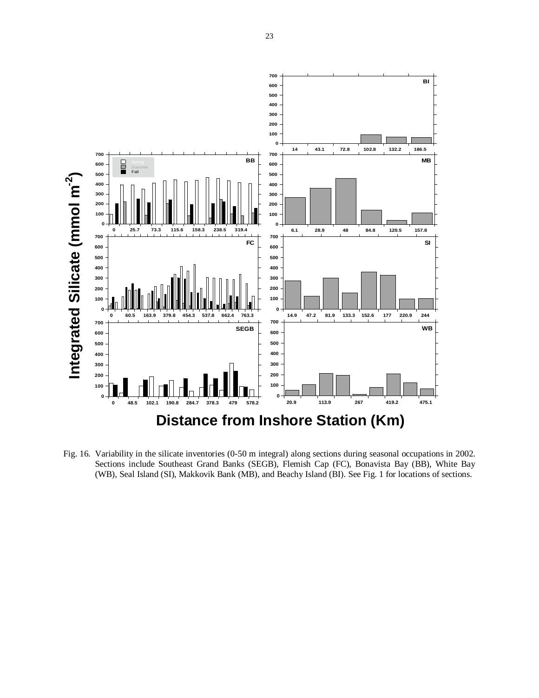![](_page_22_Figure_0.jpeg)

Fig. 16. Variability in the silicate inventories (0-50 m integral) along sections during seasonal occupations in 2002. Sections include Southeast Grand Banks (SEGB), Flemish Cap (FC), Bonavista Bay (BB), White Bay (WB), Seal Island (SI), Makkovik Bank (MB), and Beachy Island (BI). See Fig. 1 for locations of sections.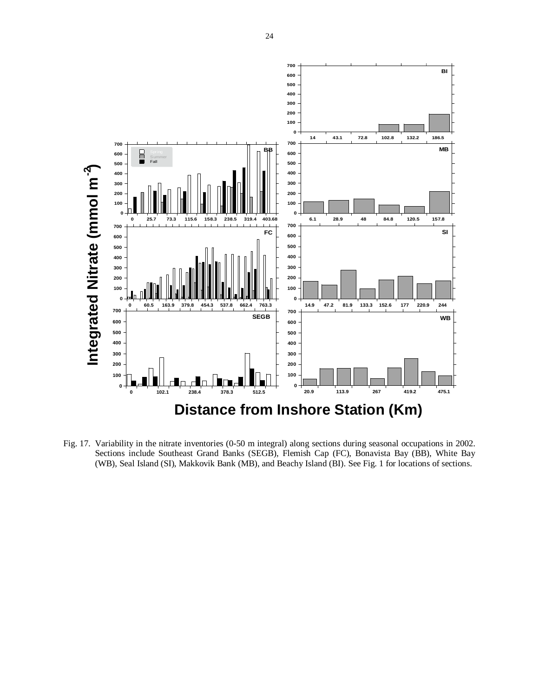![](_page_23_Figure_0.jpeg)

Fig. 17. Variability in the nitrate inventories (0-50 m integral) along sections during seasonal occupations in 2002. Sections include Southeast Grand Banks (SEGB), Flemish Cap (FC), Bonavista Bay (BB), White Bay (WB), Seal Island (SI), Makkovik Bank (MB), and Beachy Island (BI). See Fig. 1 for locations of sections.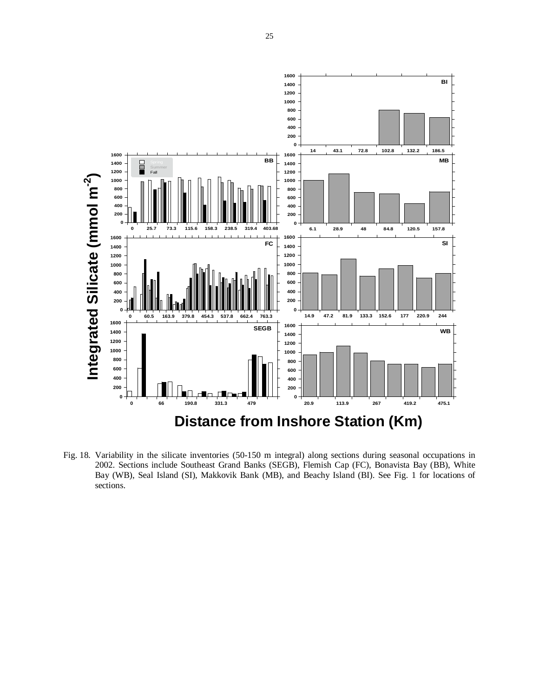![](_page_24_Figure_0.jpeg)

Fig. 18. Variability in the silicate inventories (50-150 m integral) along sections during seasonal occupations in 2002. Sections include Southeast Grand Banks (SEGB), Flemish Cap (FC), Bonavista Bay (BB), White Bay (WB), Seal Island (SI), Makkovik Bank (MB), and Beachy Island (BI). See Fig. 1 for locations of sections.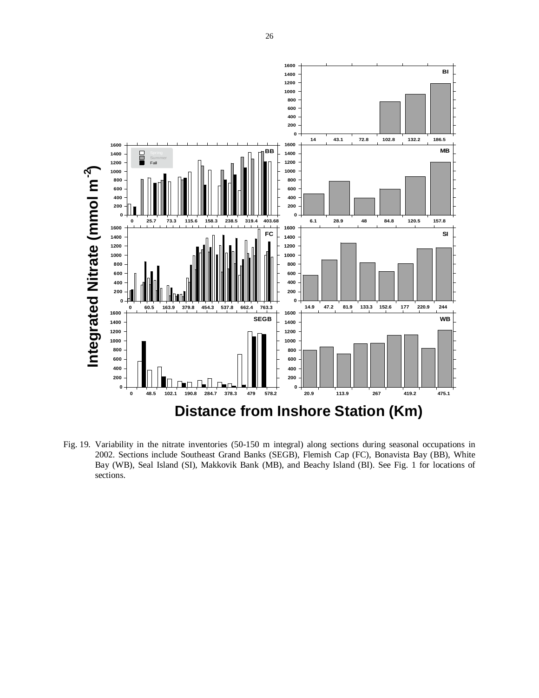![](_page_25_Figure_0.jpeg)

Fig. 19. Variability in the nitrate inventories (50-150 m integral) along sections during seasonal occupations in 2002. Sections include Southeast Grand Banks (SEGB), Flemish Cap (FC), Bonavista Bay (BB), White Bay (WB), Seal Island (SI), Makkovik Bank (MB), and Beachy Island (BI). See Fig. 1 for locations of sections.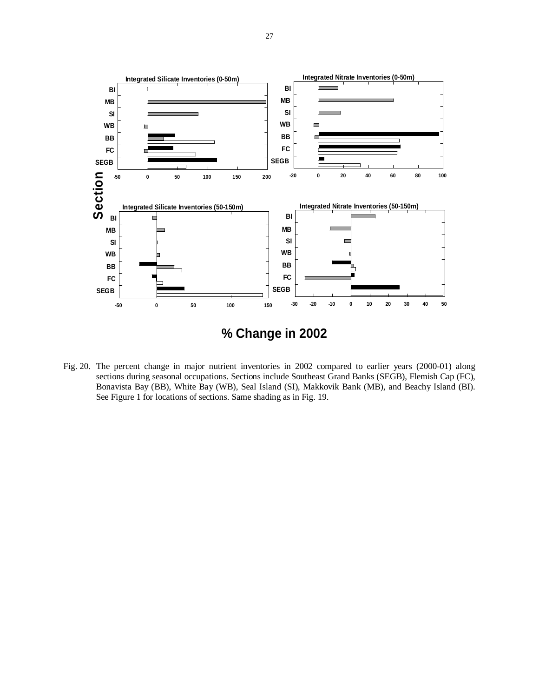![](_page_26_Figure_0.jpeg)

Fig. 20. The percent change in major nutrient inventories in 2002 compared to earlier years (2000-01) along sections during seasonal occupations. Sections include Southeast Grand Banks (SEGB), Flemish Cap (FC), Bonavista Bay (BB), White Bay (WB), Seal Island (SI), Makkovik Bank (MB), and Beachy Island (BI). See Figure 1 for locations of sections. Same shading as in Fig. 19.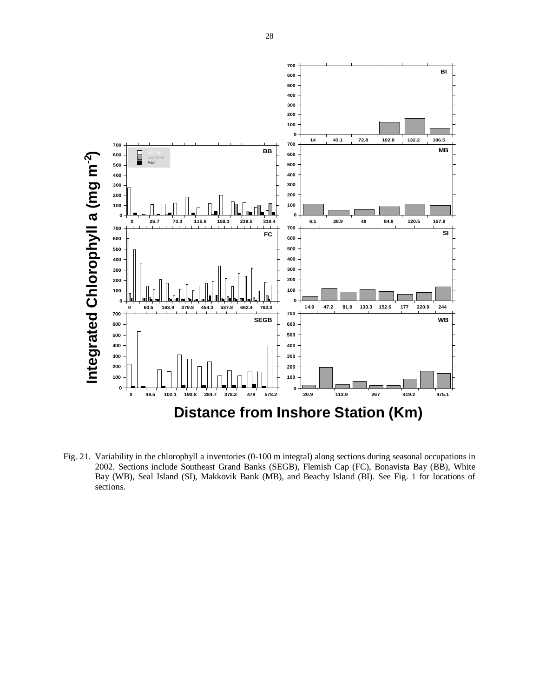![](_page_27_Figure_0.jpeg)

Fig. 21. Variability in the chlorophyll a inventories (0-100 m integral) along sections during seasonal occupations in 2002. Sections include Southeast Grand Banks (SEGB), Flemish Cap (FC), Bonavista Bay (BB), White Bay (WB), Seal Island (SI), Makkovik Bank (MB), and Beachy Island (BI). See Fig. 1 for locations of sections.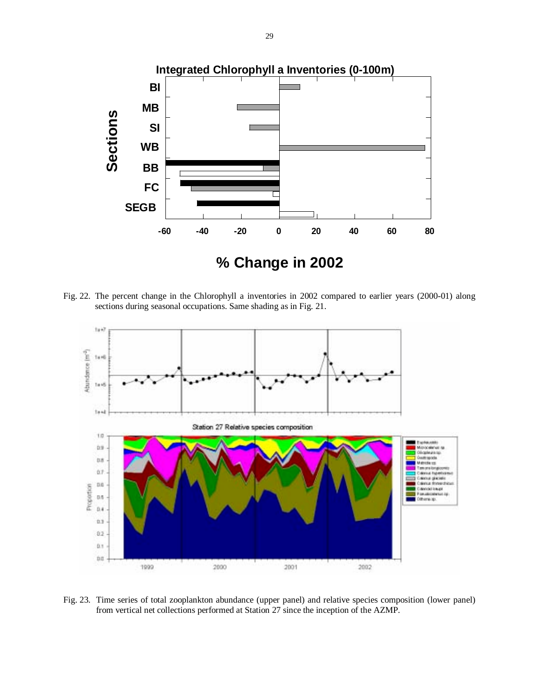![](_page_28_Figure_0.jpeg)

Fig. 22. The percent change in the Chlorophyll a inventories in 2002 compared to earlier years (2000-01) along sections during seasonal occupations. Same shading as in Fig. 21.

![](_page_28_Figure_2.jpeg)

Fig. 23. Time series of total zooplankton abundance (upper panel) and relative species composition (lower panel) from vertical net collections performed at Station 27 since the inception of the AZMP.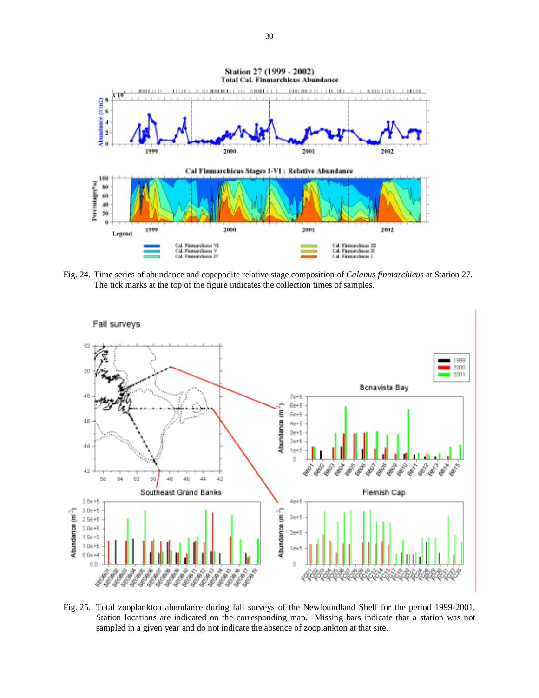![](_page_29_Figure_0.jpeg)

Fig. 24. Time series of abundance and copepodite relative stage composition of *Calanus finmarchicus* at Station 27. The tick marks at the top of the figure indicates the collection times of samples.

![](_page_29_Figure_2.jpeg)

Fig. 25. Total zooplankton abundance during fall surveys of the Newfoundland Shelf for the period 1999-2001. Station locations are indicated on the corresponding map. Missing bars indicate that a station was not sampled in a given year and do not indicate the absence of zooplankton at that site.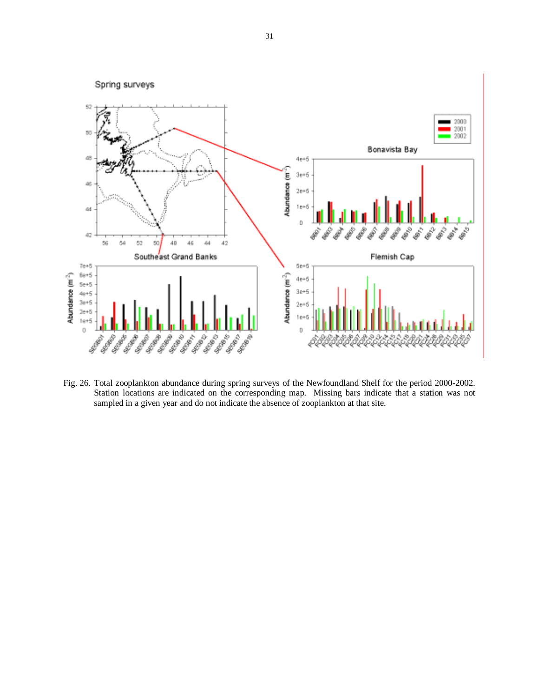![](_page_30_Figure_0.jpeg)

Fig. 26. Total zooplankton abundance during spring surveys of the Newfoundland Shelf for the period 2000-2002. Station locations are indicated on the corresponding map. Missing bars indicate that a station was not sampled in a given year and do not indicate the absence of zooplankton at that site.